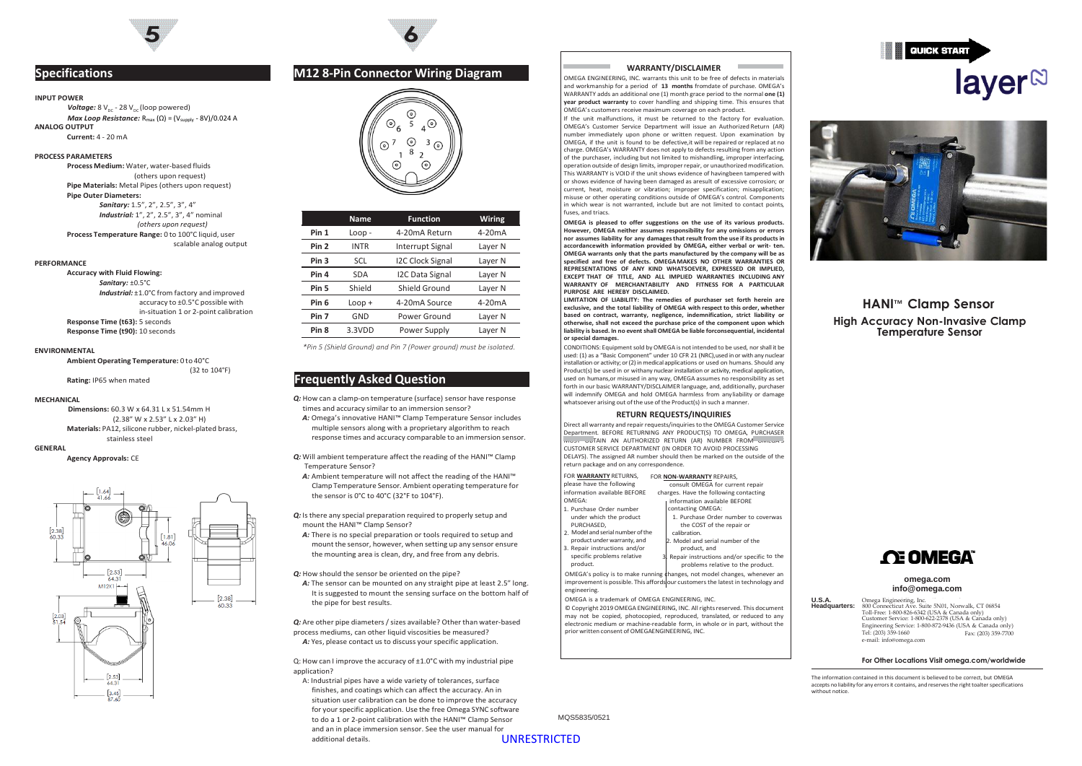

## **Specifications**

### **INPUT POWER**

*Voltage:* 8 V<sub>oc</sub> - 28 V<sub>oc</sub> (loop powered) *Max Loop Resistance:* R<sub>max</sub> (Ω) = (V<sub>supply</sub> - 8V)/0.024 A **ANALOG OUTPUT Current:** 4 - 20 mA

### **PROCESS PARAMETERS**

**Process Medium:** Water, water-based fluids (others upon request) **Pipe Materials:** Metal Pipes (others upon request) **Pipe Outer Diameters:** *Sanitary:* 1.5", 2", 2.5", 3", 4" *Industrial:* 1", 2", 2.5", 3", 4" nominal *(others upon request)* **Process Temperature Range:** 0 to 100°C liquid, user scalable analog output

### **PERFORMANCE**

**Accuracy with Fluid Flowing:** *Sanitary:* ±0.5°C *Industrial:* ±1.0°C from factory and improved accuracy to ±0.5°C possible with in-situation 1 or 2-point calibration **Response Time (t63):** 5 seconds **Response Time (t90):** 10 seconds

**Ambient Operating Temperature:** 0 to 40°C (32 to 104°F)

### **MECHANICAL**

**Dimensions:** 60.3 W x 64.31 L x 51.54mm H (2.38" W x 2.53" L x 2.03" H) **Materials:** PA12, silicone rubber, nickel-plated brass, stainless steel

# **GENERAL**<br>**Agency Approvals: CE**



### **M12 8-Pin Connector Wiring Diagram**

**6**



|                  | <b>Name</b> | <b>Function</b>         | Wiring             |
|------------------|-------------|-------------------------|--------------------|
| Pin 1            | $Loop -$    | 4-20mA Return           | $4-20mA$           |
| Pin <sub>2</sub> | <b>INTR</b> | Interrupt Signal        | Layer <sub>N</sub> |
| Pin 3            | <b>SCL</b>  | <b>I2C Clock Signal</b> | Layer <sub>N</sub> |
| Pin 4            | <b>SDA</b>  | <b>I2C Data Signal</b>  | Layer <sub>N</sub> |
| Pin 5            | Shield      | Shield Ground           | Layer N            |
| Pin 6            | $Loop +$    | 4-20mA Source           | $4-20mA$           |
| Pin 7            | GND         | Power Ground            | Layer <sub>N</sub> |
| Pin 8            | 3.3VDD      | Power Supply            | Layer N            |
|                  |             |                         |                    |

*\*Pin <sup>5</sup> (Shield Ground) and Pin <sup>7</sup> (Power ground) must be isolated.* **ENVIRONMENTAL**

### **Rating:** IP65 when mated **Frequently Asked Question**

- *Q:* How can a clamp-on temperature (surface) sensor have response times and accuracy similar to an immersion sensor?
- *A:* Omega's innovative HANI™ Clamp Temperature Sensor includes multiple sensors along with a proprietary algorithm to reach response times and accuracy comparable to an immersion sensor.
- **Q:** Will ambient temperature affect the reading of the HANI™ Clamp Temperature Sensor?
- *A:* Ambient temperature will not affect the reading of the HANI™ Clamp Temperature Sensor. Ambient operating temperature for the sensor is 0°C to 40°C (32°F to 104°F).
- **Q**: Is there any special preparation required to properly setup and mount the HANI™ Clamp Sensor?
- *A:* There is no special preparation or tools required to setup and mount the sensor, however, when setting up any sensor ensure the mounting area is clean, dry, and free from any debris.
- *Q:* How should the sensor be oriented on the pipe?
	- A: The sensor can be mounted on any straight pipe at least 2.5" long. It is suggested to mount the sensing surface on the bottom half of the pipe for best results.

process mediums, can other liquid viscosities be measured? A: Yes, please contact us to discuss your specific application.

Q: How can I improve the accuracy of ±1.0°C with my industrial pipe **Foread in the accuracy of ±1.0°C** with my industrial pipe application?

A: Industrial pipes have a wide variety of tolerances, surface finishes, and coatings which can affect the accuracy. An in situation user calibration can be done to improve the accuracy for your specific application. Use the free Omega SYNC software to do a 1 or 2-point calibration with the HANI™ Clamp Sensor and an in place immersion sensor. See the user manual for additional details.

### **WARRANTY/DISCLAIMER**

OMEGA ENGINEERING, INC. warrants this unit to be free of defects in materials and workmanship for a period of **13 months** fromdate of purchase. OMEGA's WARRANTY adds an additional one (1) month grace period to the normal **one (1) year product warranty** to cover handling and shipping time. This ensures that OMEGA's customers receive maximum coverage on each product.

If the unit malfunctions, it must be returned to the factory for evaluation. OMEGA's Customer Service Department will issue an Authorized Return (AR) number immediately upon phone or written request. Upon examination by OMEGA, if the unit is found to be defective,it will be repaired or replaced at no charge. OMEGA's WARRANTY does not apply to defects resulting from any action of the purchaser, including but not limited to mishandling, improper interfacing, operation outside of design limits, improperrepair, or unauthorizedmodification. This WARRANTY is VOID if the unit shows evidence of havingbeen tampered with or shows evidence of having been damaged as aresult of excessive corrosion; or current, heat, moisture or vibration; improper specification; misapplication; misuse or other operating conditions outside of OMEGA's control. Components in which wear is not warranted, include but are not limited to contact points, fuses, and triacs.

**OMEGA is pleased to offer suggestions on the use of its various products. However, OMEGA neither assumes responsibility for any omissions or errors nor assumes liability for any damagesthat result from the use if its productsin accordancewith information provided by OMEGA, either verbal or writ- ten. OMEGA warrants only that the parts manufactured by the company will be as specified and free of defects. OMEGAMAKES NO OTHER WARRANTIES OR REPRESENTATIONS OF ANY KIND WHATSOEVER, EXPRESSED OR IMPLIED, EXCEPT THAT OF TITLE, AND ALL IMPLIED WARRANTIES INCLUDING ANY WARRANTY OF MERCHANTABILITY AND FITNESS FOR A PARTICULAR PURPOSE ARE HEREBY DISCLAIMED.**

**LIMITATION OF LIABILITY: The remedies of purchaser set forth herein are exclusive, and the total liability of OMEGA with respect to this order, whether based on contract, warranty, negligence, indemnification, strict liability or otherwise, shall not exceed the purchase price of the component upon which liability is based. In no event shallOMEGA be liable forconsequential, incidental or special damages.**

CONDITIONS: Equipment sold by OMEGA is not intended to be used, nor shall it be used: (1) as a "Basic Component" under 10 CFR 21 (NRC),used in or with any nuclear installation or activity; or(2) inmedical applications or used on humans. Should any Product(s) be used in or withany nuclear installation or activity, medical application, used on humans,or misused in any way, OMEGA assumes no responsibility as set forth in our basic WARRANTY/DISCLAIMER language, and, additionally, purchaser will indemnify OMEGA and hold OMEGA harmless from anyliability or damage whatsoever arising out of the use of the Product(s) in such a manner

### **RETURN REQUESTS/INQUIRIES**

Direct all warranty and repair requests/inquiriesto the OMEGA Customer Service Department. BEFORE RETURNING ANY PRODUCT(S) TO OMEGA, PURCHASER MUST OBTAIN AN AUTHORIZED RETURN (AR) NUMBER FROM OMEGANS CUSTOMER SERVICE DEPARTMENT (IN ORDER TO AVOID PROCESSING DELAYS). The assigned AR number should then be marked on the outside of the return package and on any correspondence.

FOR **WARRANTY** RETURNS, FOR **NON-WARRANTY** REPAIRS,

| <b>FUR WARRAIVELE RETURNS.</b>                  | FUK NUN-WAKKANTY KEPAIKS,                                                        |
|-------------------------------------------------|----------------------------------------------------------------------------------|
| please have the following                       | consult OMEGA for current repair                                                 |
| information available BEFORE                    | charges. Have the following contacting                                           |
| OMFGA:                                          | information available BEFORE                                                     |
| 1. Purchase Order number                        | contacting OMEGA:                                                                |
| under which the product                         | 1. Purchase Order number to coverwas                                             |
| PURCHASED.                                      | the COST of the repair or                                                        |
| 2. Model and serial number of the               | calibration.                                                                     |
| product under warranty, and                     | 2. Model and serial number of the                                                |
| 3. Repair instructions and/or                   | product, and                                                                     |
| specific problems relative                      | 3. Repair instructions and/or specific to the                                    |
| product.                                        | problems relative to the product.                                                |
|                                                 | OMEGA's policy is to make running changes, not model changes, whenever an        |
|                                                 | improvement is possible. This affords our customers the latest in technology and |
| engineering.                                    |                                                                                  |
| OMEGA is a trademark of OMEGA ENGINEERING, INC. |                                                                                  |

G: Are other pipe diameters / sizes available? Other than water-based electronic medium or machine-readable form, in whole or in part, without the Engineering Service: 1-800-872-9436 (USA & Canada only) © Copyright 2019 OMEGA ENGINEERING, INC. All rights reserved. This document may not be copied, photocopied, reproduced, translated, or reduced to any electronic medium or machine-readable form, in whole or in part, without the prior written consent of OMEGAENGINEERING, INC.





## **HANI**™ **Clamp Sensor High Accuracy Non-Invasive Clamp Temperature Sensor**



### **omega.com [info@omega.com](mailto:info@omega.com)**

**U.S.A.** Omega Engineering, Inc.<br> **Headquarters:** 800 Connecticut Ave. Suite 5N01, Norwalk, CT 06854 Toll-Free: 1-800-826-6342 (USA & Canada only) Customer Service: 1-800-622-2378 (USA & Canada only) Tel: (203) 359-1660 e-mail: [info@omega.com](mailto:info@omega.com) Fax: (203) 359-7700

The information contained in this document is believed to be correct, but OMEGA accepts no liability for any errors it contains, and reserves the right toalter specifications without notice.

MQS5835/0521

UNRESTRICTED